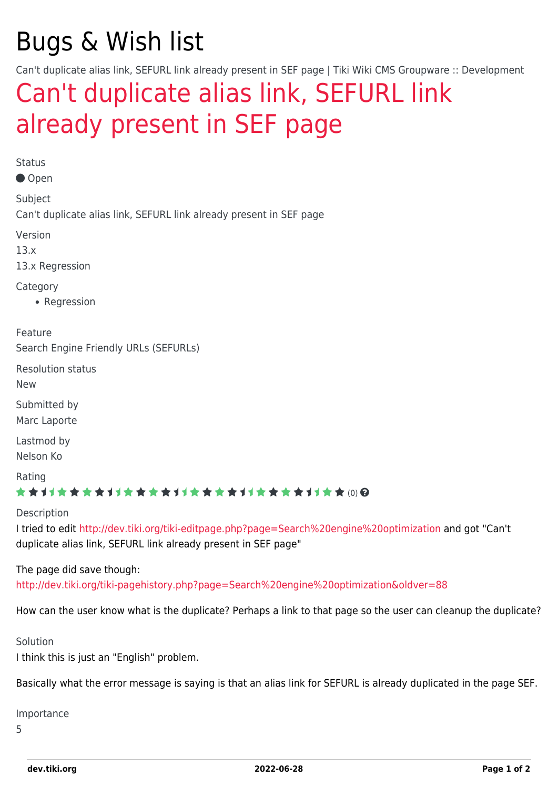# Bugs & Wish list

Can't duplicate alias link, SEFURL link already present in SEF page | Tiki Wiki CMS Groupware :: Development

## [Can't duplicate alias link, SEFURL link](https://dev.tiki.org/item5290-Can-t-duplicate-alias-link-SEFURL-link-already-present-in-SEF-page) [already present in SEF page](https://dev.tiki.org/item5290-Can-t-duplicate-alias-link-SEFURL-link-already-present-in-SEF-page)

Status

Open

Subject Can't duplicate alias link, SEFURL link already present in SEF page

Version

13.x

13.x Regression

**Category** 

• Regression

Feature Search Engine Friendly URLs (SEFURLs)

Resolution status

New

Submitted by Marc Laporte

Lastmod by Nelson Ko

Rating

#### ★★11★★★★11★★★★11★★★★11★★★★+11★★ (0) @

Description

I tried to edit <http://dev.tiki.org/tiki-editpage.php?page=Search%20engine%20optimization> and got "Can't duplicate alias link, SEFURL link already present in SEF page"

#### The page did save though:

<http://dev.tiki.org/tiki-pagehistory.php?page=Search%20engine%20optimization&oldver=88>

How can the user know what is the duplicate? Perhaps a link to that page so the user can cleanup the duplicate?

Solution I think this is just an "English" problem.

Basically what the error message is saying is that an alias link for SEFURL is already duplicated in the page SEF.

Importance

5